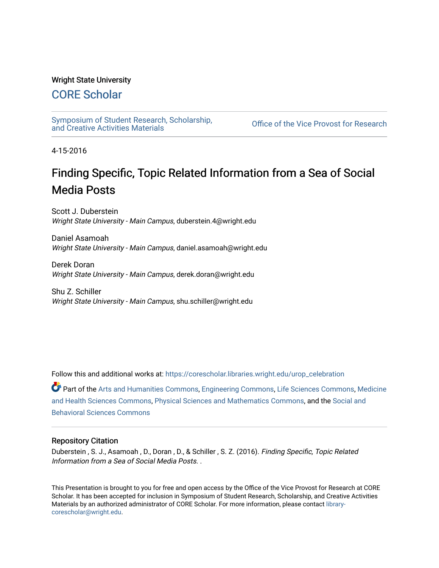### Wright State University

## [CORE Scholar](https://corescholar.libraries.wright.edu/)

[Symposium of Student Research, Scholarship,](https://corescholar.libraries.wright.edu/urop_celebration)

Office of the Vice Provost for Research

4-15-2016

# Finding Specific, Topic Related Information from a Sea of Social Media Posts

Scott J. Duberstein Wright State University - Main Campus, duberstein.4@wright.edu

Daniel Asamoah Wright State University - Main Campus, daniel.asamoah@wright.edu

Derek Doran Wright State University - Main Campus, derek.doran@wright.edu

Shu Z. Schiller Wright State University - Main Campus, shu.schiller@wright.edu

Follow this and additional works at: [https://corescholar.libraries.wright.edu/urop\\_celebration](https://corescholar.libraries.wright.edu/urop_celebration?utm_source=corescholar.libraries.wright.edu%2Furop_celebration%2F17&utm_medium=PDF&utm_campaign=PDFCoverPages) 

Part of the [Arts and Humanities Commons,](http://network.bepress.com/hgg/discipline/438?utm_source=corescholar.libraries.wright.edu%2Furop_celebration%2F17&utm_medium=PDF&utm_campaign=PDFCoverPages) [Engineering Commons](http://network.bepress.com/hgg/discipline/217?utm_source=corescholar.libraries.wright.edu%2Furop_celebration%2F17&utm_medium=PDF&utm_campaign=PDFCoverPages), [Life Sciences Commons](http://network.bepress.com/hgg/discipline/1016?utm_source=corescholar.libraries.wright.edu%2Furop_celebration%2F17&utm_medium=PDF&utm_campaign=PDFCoverPages), [Medicine](http://network.bepress.com/hgg/discipline/648?utm_source=corescholar.libraries.wright.edu%2Furop_celebration%2F17&utm_medium=PDF&utm_campaign=PDFCoverPages) [and Health Sciences Commons](http://network.bepress.com/hgg/discipline/648?utm_source=corescholar.libraries.wright.edu%2Furop_celebration%2F17&utm_medium=PDF&utm_campaign=PDFCoverPages), [Physical Sciences and Mathematics Commons](http://network.bepress.com/hgg/discipline/114?utm_source=corescholar.libraries.wright.edu%2Furop_celebration%2F17&utm_medium=PDF&utm_campaign=PDFCoverPages), and the [Social and](http://network.bepress.com/hgg/discipline/316?utm_source=corescholar.libraries.wright.edu%2Furop_celebration%2F17&utm_medium=PDF&utm_campaign=PDFCoverPages)  [Behavioral Sciences Commons](http://network.bepress.com/hgg/discipline/316?utm_source=corescholar.libraries.wright.edu%2Furop_celebration%2F17&utm_medium=PDF&utm_campaign=PDFCoverPages) 

### Repository Citation

Duberstein , S. J., Asamoah , D., Doran , D., & Schiller , S. Z. (2016). Finding Specific, Topic Related Information from a Sea of Social Media Posts. .

This Presentation is brought to you for free and open access by the Office of the Vice Provost for Research at CORE Scholar. It has been accepted for inclusion in Symposium of Student Research, Scholarship, and Creative Activities Materials by an authorized administrator of CORE Scholar. For more information, please contact [library](mailto:library-corescholar@wright.edu)[corescholar@wright.edu](mailto:library-corescholar@wright.edu).